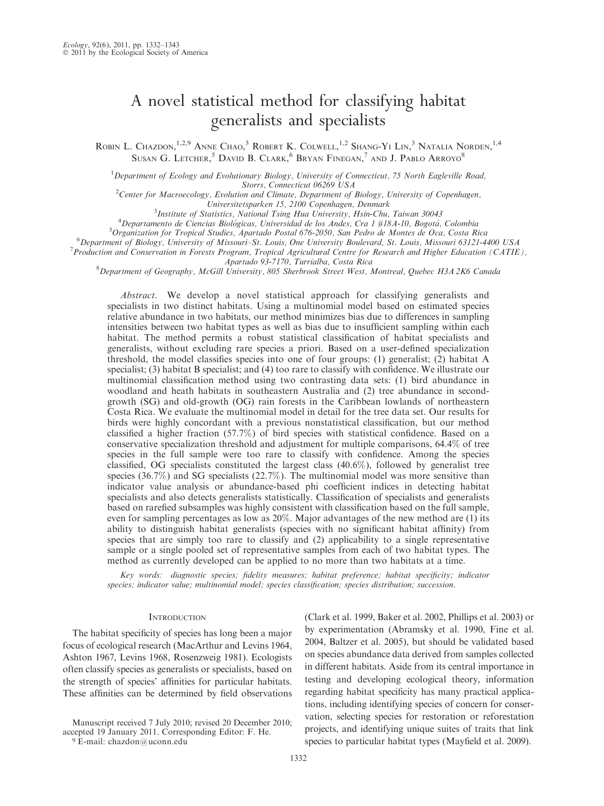# A novel statistical method for classifying habitat generalists and specialists

ROBIN L. CHAZDON, <sup>1,2,9</sup> ANNE CHAO,<sup>3</sup> ROBERT K. COLWELL, <sup>1,2</sup> SHANG-YI LIN,<sup>3</sup> NATALIA NORDEN, <sup>1,4</sup> SUSAN G. LETCHER,  $^5$  David B. Clark,  $^6$  Bryan Finegan,  $^7$  and J. Pablo Arroyo $^8$ 

<sup>1</sup>Department of Ecology and Evolutionary Biology, University of Connecticut, 75 North Eagleville Road, Storrs, Connecticut 06269 USA<br>Center for Macroecology, Evolution and Climate, Department of Biology, University of Copenhagen,<sup>2</sup>

Universitetsparken 15, 2100 Copenhagen, Denmark <sup>3</sup>

 $3$ Institute of Statistics, National Tsing Hua University, Hsin-Chu, Taiwan 30043

<sup>4</sup>Departamento de Ciencias Biológicas, Universidad de los Andes, Cra 1 #18A-10, Bogotá, Colombia

<sup>5</sup>Organization for Tropical Studies, Apartado Postal 676-2050, San Pedro de Montes de Oca, Costa Rica

 $^6$ Department of Biology, University of Missouri–St. Louis, One University Boulevard, St. Louis, Missouri 63121-4400 USA

Production and Conservation in Forests Program, Tropical Agricultural Centre for Research and Higher Education (CATIE),<br>Apartado 93-7170, Turrialba, Costa Rica

Apartado 93-7170, Turrialba, Costa Rica<br><sup>8</sup>Department of Geography, McGill University, 805 Sherbrook Street West, Montreal, Quebec H3A 2K6 Canada

Abstract. We develop a novel statistical approach for classifying generalists and specialists in two distinct habitats. Using a multinomial model based on estimated species relative abundance in two habitats, our method minimizes bias due to differences in sampling intensities between two habitat types as well as bias due to insufficient sampling within each habitat. The method permits a robust statistical classification of habitat specialists and generalists, without excluding rare species a priori. Based on a user-defined specialization threshold, the model classifies species into one of four groups: (1) generalist; (2) habitat A specialist; (3) habitat B specialist; and (4) too rare to classify with confidence. We illustrate our multinomial classification method using two contrasting data sets: (1) bird abundance in woodland and heath habitats in southeastern Australia and (2) tree abundance in secondgrowth (SG) and old-growth (OG) rain forests in the Caribbean lowlands of northeastern Costa Rica. We evaluate the multinomial model in detail for the tree data set. Our results for birds were highly concordant with a previous nonstatistical classification, but our method classified a higher fraction (57.7%) of bird species with statistical confidence. Based on a conservative specialization threshold and adjustment for multiple comparisons, 64.4% of tree species in the full sample were too rare to classify with confidence. Among the species classified, OG specialists constituted the largest class (40.6%), followed by generalist tree species (36.7%) and SG specialists (22.7%). The multinomial model was more sensitive than indicator value analysis or abundance-based phi coefficient indices in detecting habitat specialists and also detects generalists statistically. Classification of specialists and generalists based on rarefied subsamples was highly consistent with classification based on the full sample, even for sampling percentages as low as 20%. Major advantages of the new method are (1) its ability to distinguish habitat generalists (species with no significant habitat affinity) from species that are simply too rare to classify and (2) applicability to a single representative sample or a single pooled set of representative samples from each of two habitat types. The method as currently developed can be applied to no more than two habitats at a time.

Key words: diagnostic species; fidelity measures; habitat preference; habitat specificity; indicator species; indicator value; multinomial model; species classification; species distribution; succession.

### **INTRODUCTION**

The habitat specificity of species has long been a major focus of ecological research (MacArthur and Levins 1964, Ashton 1967, Levins 1968, Rosenzweig 1981). Ecologists often classify species as generalists or specialists, based on the strength of species' affinities for particular habitats. These affinities can be determined by field observations (Clark et al. 1999, Baker et al. 2002, Phillips et al. 2003) or by experimentation (Abramsky et al. 1990, Fine et al. 2004, Baltzer et al. 2005), but should be validated based on species abundance data derived from samples collected in different habitats. Aside from its central importance in testing and developing ecological theory, information regarding habitat specificity has many practical applications, including identifying species of concern for conservation, selecting species for restoration or reforestation projects, and identifying unique suites of traits that link species to particular habitat types (Mayfield et al. 2009).

Manuscript received 7 July 2010; revised 20 December 2010; accepted 19 January 2011. Corresponding Editor: F. He.

<sup>9</sup> E-mail: chazdon@uconn.edu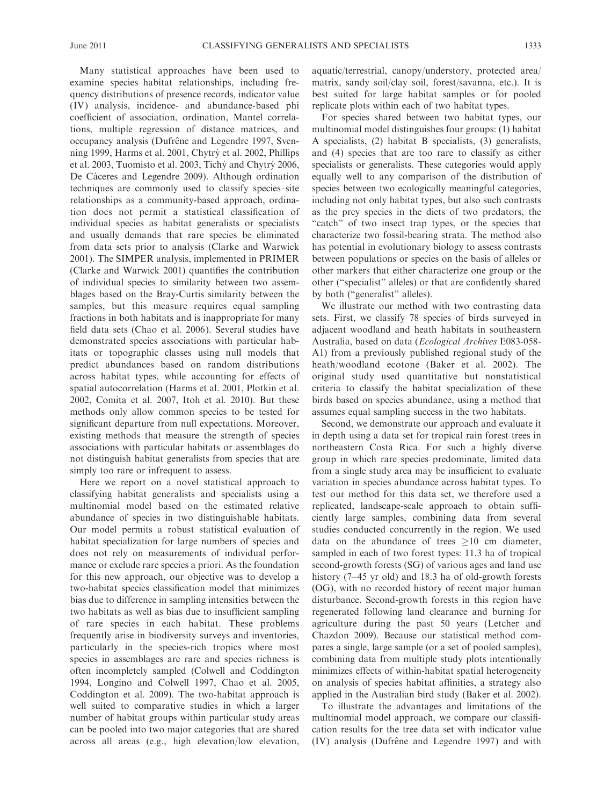Many statistical approaches have been used to examine species–habitat relationships, including frequency distributions of presence records, indicator value (IV) analysis, incidence- and abundance-based phi coefficient of association, ordination, Mantel correlations, multiple regression of distance matrices, and occupancy analysis (Dufrêne and Legendre 1997, Svenning 1999, Harms et al. 2001, Chytrý et al. 2002, Phillips et al. 2003, Tuomisto et al. 2003, Tichý and Chytrý 2006, De Cáceres and Legendre 2009). Although ordination techniques are commonly used to classify species–site relationships as a community-based approach, ordination does not permit a statistical classification of individual species as habitat generalists or specialists and usually demands that rare species be eliminated from data sets prior to analysis (Clarke and Warwick 2001). The SIMPER analysis, implemented in PRIMER (Clarke and Warwick 2001) quantifies the contribution of individual species to similarity between two assemblages based on the Bray-Curtis similarity between the samples, but this measure requires equal sampling fractions in both habitats and is inappropriate for many field data sets (Chao et al. 2006). Several studies have demonstrated species associations with particular habitats or topographic classes using null models that predict abundances based on random distributions across habitat types, while accounting for effects of spatial autocorrelation (Harms et al. 2001, Plotkin et al. 2002, Comita et al. 2007, Itoh et al. 2010). But these methods only allow common species to be tested for significant departure from null expectations. Moreover, existing methods that measure the strength of species associations with particular habitats or assemblages do not distinguish habitat generalists from species that are simply too rare or infrequent to assess.

Here we report on a novel statistical approach to classifying habitat generalists and specialists using a multinomial model based on the estimated relative abundance of species in two distinguishable habitats. Our model permits a robust statistical evaluation of habitat specialization for large numbers of species and does not rely on measurements of individual performance or exclude rare species a priori. As the foundation for this new approach, our objective was to develop a two-habitat species classification model that minimizes bias due to difference in sampling intensities between the two habitats as well as bias due to insufficient sampling of rare species in each habitat. These problems frequently arise in biodiversity surveys and inventories, particularly in the species-rich tropics where most species in assemblages are rare and species richness is often incompletely sampled (Colwell and Coddington 1994, Longino and Colwell 1997, Chao et al. 2005, Coddington et al. 2009). The two-habitat approach is well suited to comparative studies in which a larger number of habitat groups within particular study areas can be pooled into two major categories that are shared across all areas (e.g., high elevation/low elevation,

aquatic/terrestrial, canopy/understory, protected area/ matrix, sandy soil/clay soil, forest/savanna, etc.). It is best suited for large habitat samples or for pooled replicate plots within each of two habitat types.

For species shared between two habitat types, our multinomial model distinguishes four groups: (1) habitat A specialists, (2) habitat B specialists, (3) generalists, and (4) species that are too rare to classify as either specialists or generalists. These categories would apply equally well to any comparison of the distribution of species between two ecologically meaningful categories, including not only habitat types, but also such contrasts as the prey species in the diets of two predators, the "catch" of two insect trap types, or the species that characterize two fossil-bearing strata. The method also has potential in evolutionary biology to assess contrasts between populations or species on the basis of alleles or other markers that either characterize one group or the other (''specialist'' alleles) or that are confidently shared by both (''generalist'' alleles).

We illustrate our method with two contrasting data sets. First, we classify 78 species of birds surveyed in adjacent woodland and heath habitats in southeastern Australia, based on data (Ecological Archives E083-058- A1) from a previously published regional study of the heath/woodland ecotone (Baker et al. 2002). The original study used quantitative but nonstatistical criteria to classify the habitat specialization of these birds based on species abundance, using a method that assumes equal sampling success in the two habitats.

Second, we demonstrate our approach and evaluate it in depth using a data set for tropical rain forest trees in northeastern Costa Rica. For such a highly diverse group in which rare species predominate, limited data from a single study area may be insufficient to evaluate variation in species abundance across habitat types. To test our method for this data set, we therefore used a replicated, landscape-scale approach to obtain sufficiently large samples, combining data from several studies conducted concurrently in the region. We used data on the abundance of trees  $\geq 10$  cm diameter, sampled in each of two forest types: 11.3 ha of tropical second-growth forests (SG) of various ages and land use history (7–45 yr old) and 18.3 ha of old-growth forests (OG), with no recorded history of recent major human disturbance. Second-growth forests in this region have regenerated following land clearance and burning for agriculture during the past 50 years (Letcher and Chazdon 2009). Because our statistical method compares a single, large sample (or a set of pooled samples), combining data from multiple study plots intentionally minimizes effects of within-habitat spatial heterogeneity on analysis of species habitat affinities, a strategy also applied in the Australian bird study (Baker et al. 2002).

To illustrate the advantages and limitations of the multinomial model approach, we compare our classification results for the tree data set with indicator value  $(IV)$  analysis (Dufrêne and Legendre 1997) and with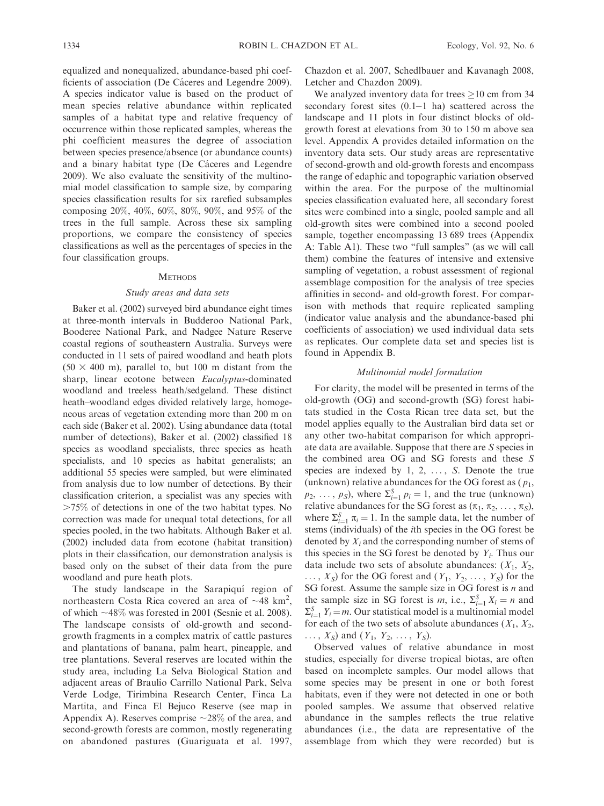equalized and nonequalized, abundance-based phi coefficients of association (De Cáceres and Legendre 2009). A species indicator value is based on the product of mean species relative abundance within replicated samples of a habitat type and relative frequency of occurrence within those replicated samples, whereas the phi coefficient measures the degree of association between species presence/absence (or abundance counts) and a binary habitat type (De Cáceres and Legendre 2009). We also evaluate the sensitivity of the multinomial model classification to sample size, by comparing species classification results for six rarefied subsamples composing 20%, 40%, 60%, 80%, 90%, and 95% of the trees in the full sample. Across these six sampling proportions, we compare the consistency of species classifications as well as the percentages of species in the four classification groups.

### **METHODS**

### Study areas and data sets

Baker et al. (2002) surveyed bird abundance eight times at three-month intervals in Budderoo National Park, Booderee National Park, and Nadgee Nature Reserve coastal regions of southeastern Australia. Surveys were conducted in 11 sets of paired woodland and heath plots  $(50 \times 400 \text{ m})$ , parallel to, but 100 m distant from the sharp, linear ecotone between *Eucalyptus*-dominated woodland and treeless heath/sedgeland. These distinct heath–woodland edges divided relatively large, homogeneous areas of vegetation extending more than 200 m on each side (Baker et al. 2002). Using abundance data (total number of detections), Baker et al. (2002) classified 18 species as woodland specialists, three species as heath specialists, and 10 species as habitat generalists; an additional 55 species were sampled, but were eliminated from analysis due to low number of detections. By their classification criterion, a specialist was any species with  $>75\%$  of detections in one of the two habitat types. No correction was made for unequal total detections, for all species pooled, in the two habitats. Although Baker et al. (2002) included data from ecotone (habitat transition) plots in their classification, our demonstration analysis is based only on the subset of their data from the pure woodland and pure heath plots.

The study landscape in the Sarapiquí region of northeastern Costa Rica covered an area of  $\sim$  48 km<sup>2</sup>, of which  $\sim$ 48% was forested in 2001 (Sesnie et al. 2008). The landscape consists of old-growth and secondgrowth fragments in a complex matrix of cattle pastures and plantations of banana, palm heart, pineapple, and tree plantations. Several reserves are located within the study area, including La Selva Biological Station and adjacent areas of Braulio Carrillo National Park, Selva Verde Lodge, Tirimbina Research Center, Finca La Martita, and Finca El Bejuco Reserve (see map in Appendix A). Reserves comprise  $\sim$ 28% of the area, and second-growth forests are common, mostly regenerating on abandoned pastures (Guariguata et al. 1997,

Chazdon et al. 2007, Schedlbauer and Kavanagh 2008, Letcher and Chazdon 2009).

We analyzed inventory data for trees  $\geq 10$  cm from 34 secondary forest sites  $(0.1-1)$  ha) scattered across the landscape and 11 plots in four distinct blocks of oldgrowth forest at elevations from 30 to 150 m above sea level. Appendix A provides detailed information on the inventory data sets. Our study areas are representative of second-growth and old-growth forests and encompass the range of edaphic and topographic variation observed within the area. For the purpose of the multinomial species classification evaluated here, all secondary forest sites were combined into a single, pooled sample and all old-growth sites were combined into a second pooled sample, together encompassing 13 689 trees (Appendix A: Table A1). These two ''full samples'' (as we will call them) combine the features of intensive and extensive sampling of vegetation, a robust assessment of regional assemblage composition for the analysis of tree species affinities in second- and old-growth forest. For comparison with methods that require replicated sampling (indicator value analysis and the abundance-based phi coefficients of association) we used individual data sets as replicates. Our complete data set and species list is found in Appendix B.

### Multinomial model formulation

For clarity, the model will be presented in terms of the old-growth (OG) and second-growth (SG) forest habitats studied in the Costa Rican tree data set, but the model applies equally to the Australian bird data set or any other two-habitat comparison for which appropriate data are available. Suppose that there are S species in the combined area OG and SG forests and these S species are indexed by  $1, 2, \ldots, S$ . Denote the true (unknown) relative abundances for the OG forest as  $(p_1,$  $p_2, \ldots, p_s$ , where  $\Sigma_{i=1}^S p_i = 1$ , and the true (unknown) relative abundances for the SG forest as  $(\pi_1, \pi_2, \ldots, \pi_S)$ , where  $\sum_{i=1}^{S} \pi_i = 1$ . In the sample data, let the number of stems (individuals) of the ith species in the OG forest be denoted by  $X_i$  and the corresponding number of stems of this species in the SG forest be denoted by  $Y_i$ . Thus our data include two sets of absolute abundances:  $(X_1, X_2,$  $\ldots$ ,  $X_S$ ) for the OG forest and  $(Y_1, Y_2, \ldots, Y_S)$  for the SG forest. Assume the sample size in OG forest is  $n$  and the sample size in SG forest is *m*, i.e.,  $\Sigma_{i=1}^{S} X_i = n$  and  $\Sigma_{i=1}^{S}$   $Y_i = m$ . Our statistical model is a multinomial model for each of the two sets of absolute abundances  $(X_1, X_2, \ldots, X_n)$  $\ldots$ ,  $X_S$ ) and  $(Y_1, Y_2, \ldots, Y_S)$ .

Observed values of relative abundance in most studies, especially for diverse tropical biotas, are often based on incomplete samples. Our model allows that some species may be present in one or both forest habitats, even if they were not detected in one or both pooled samples. We assume that observed relative abundance in the samples reflects the true relative abundances (i.e., the data are representative of the assemblage from which they were recorded) but is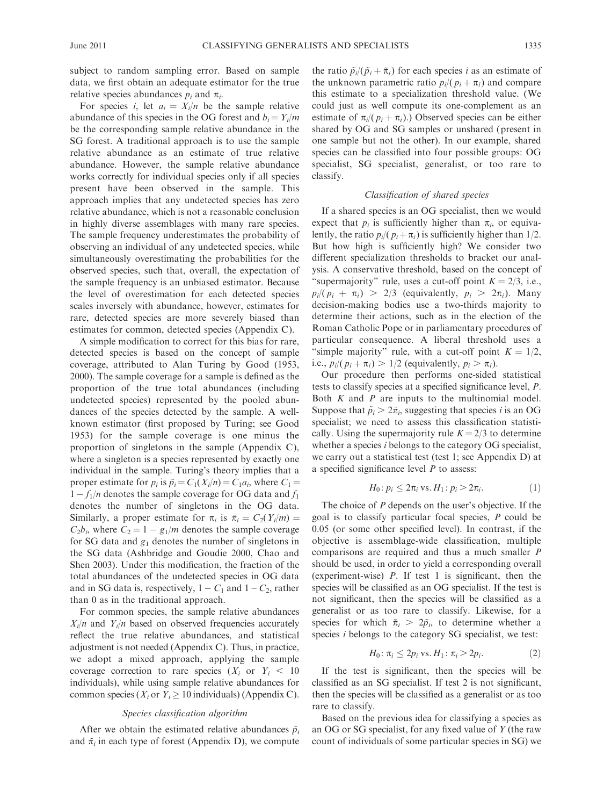subject to random sampling error. Based on sample data, we first obtain an adequate estimator for the true relative species abundances  $p_i$  and  $\pi_i$ .

For species i, let  $a_i = X_i/n$  be the sample relative abundance of this species in the OG forest and  $b_i = Y_i/m$ be the corresponding sample relative abundance in the SG forest. A traditional approach is to use the sample relative abundance as an estimate of true relative abundance. However, the sample relative abundance works correctly for individual species only if all species present have been observed in the sample. This approach implies that any undetected species has zero relative abundance, which is not a reasonable conclusion in highly diverse assemblages with many rare species. The sample frequency underestimates the probability of observing an individual of any undetected species, while simultaneously overestimating the probabilities for the observed species, such that, overall, the expectation of the sample frequency is an unbiased estimator. Because the level of overestimation for each detected species scales inversely with abundance, however, estimates for rare, detected species are more severely biased than estimates for common, detected species (Appendix C).

A simple modification to correct for this bias for rare, detected species is based on the concept of sample coverage, attributed to Alan Turing by Good (1953, 2000). The sample coverage for a sample is defined as the proportion of the true total abundances (including undetected species) represented by the pooled abundances of the species detected by the sample. A wellknown estimator (first proposed by Turing; see Good 1953) for the sample coverage is one minus the proportion of singletons in the sample (Appendix C), where a singleton is a species represented by exactly one individual in the sample. Turing's theory implies that a proper estimate for  $p_i$  is  $\tilde{p}_i = C_1(X_i/n) = C_1 a_i$ , where  $C_1 =$  $1 - f_1/n$  denotes the sample coverage for OG data and  $f_1$ denotes the number of singletons in the OG data. Similarly, a proper estimate for  $\pi_i$  is  $\tilde{\pi}_i = C_2(Y_i/m) =$  $C_2b_i$ , where  $C_2 = 1 - g_1/m$  denotes the sample coverage for SG data and  $g_1$  denotes the number of singletons in the SG data (Ashbridge and Goudie 2000, Chao and Shen 2003). Under this modification, the fraction of the total abundances of the undetected species in OG data and in SG data is, respectively,  $1 - C_1$  and  $1 - C_2$ , rather than 0 as in the traditional approach.

For common species, the sample relative abundances  $X_i/n$  and  $Y_i/n$  based on observed frequencies accurately reflect the true relative abundances, and statistical adjustment is not needed (Appendix C). Thus, in practice, we adopt a mixed approach, applying the sample coverage correction to rare species  $(X_i \text{ or } Y_i < 10)$ individuals), while using sample relative abundances for common species ( $X_i$  or  $Y_i \geq 10$  individuals) (Appendix C).

### Species classification algorithm

After we obtain the estimated relative abundances  $\tilde{p}_i$ and  $\tilde{\pi}_i$  in each type of forest (Appendix D), we compute the ratio  $\tilde{p}_i/(\tilde{p}_i + \tilde{\pi}_i)$  for each species i as an estimate of the unknown parametric ratio  $p_i/(p_i + \pi_i)$  and compare this estimate to a specialization threshold value. (We could just as well compute its one-complement as an estimate of  $\pi_i/(p_i + \pi_i)$ .) Observed species can be either shared by OG and SG samples or unshared (present in one sample but not the other). In our example, shared species can be classified into four possible groups: OG specialist, SG specialist, generalist, or too rare to classify.

#### Classification of shared species

If a shared species is an OG specialist, then we would expect that  $p_i$  is sufficiently higher than  $\pi_i$ , or equivalently, the ratio  $p_i/(p_i + \pi_i)$  is sufficiently higher than 1/2. But how high is sufficiently high? We consider two different specialization thresholds to bracket our analysis. A conservative threshold, based on the concept of "supermajority" rule, uses a cut-off point  $K = 2/3$ , i.e.,  $p_i/(p_i + \pi_i) > 2/3$  (equivalently,  $p_i > 2\pi_i$ ). Many decision-making bodies use a two-thirds majority to determine their actions, such as in the election of the Roman Catholic Pope or in parliamentary procedures of particular consequence. A liberal threshold uses a "simple majority" rule, with a cut-off point  $K = 1/2$ , i.e.,  $p_i/(p_i + \pi_i) > 1/2$  (equivalently,  $p_i > \pi_i$ ).

Our procedure then performs one-sided statistical tests to classify species at a specified significance level, P. Both  $K$  and  $P$  are inputs to the multinomial model. Suppose that  $\tilde{p}_i > 2\tilde{\pi}_i$ , suggesting that species i is an OG specialist; we need to assess this classification statistically. Using the supermajority rule  $K = 2/3$  to determine whether a species *i* belongs to the category OG specialist, we carry out a statistical test (test 1; see Appendix D) at a specified significance level  $P$  to assess:

$$
H_0: p_i \le 2\pi_i \text{ vs. } H_1: p_i > 2\pi_i. \tag{1}
$$

The choice of P depends on the user's objective. If the goal is to classify particular focal species, P could be 0.05 (or some other specified level). In contrast, if the objective is assemblage-wide classification, multiple comparisons are required and thus a much smaller P should be used, in order to yield a corresponding overall (experiment-wise) P. If test 1 is significant, then the species will be classified as an OG specialist. If the test is not significant, then the species will be classified as a generalist or as too rare to classify. Likewise, for a species for which  $\tilde{\pi}_i > 2\tilde{p}_i$ , to determine whether a species i belongs to the category SG specialist, we test:

$$
H_0: \pi_i \le 2p_i \text{ vs. } H_1: \pi_i > 2p_i. \tag{2}
$$

If the test is significant, then the species will be classified as an SG specialist. If test 2 is not significant, then the species will be classified as a generalist or as too rare to classify.

Based on the previous idea for classifying a species as an OG or SG specialist, for any fixed value of Y (the raw count of individuals of some particular species in SG) we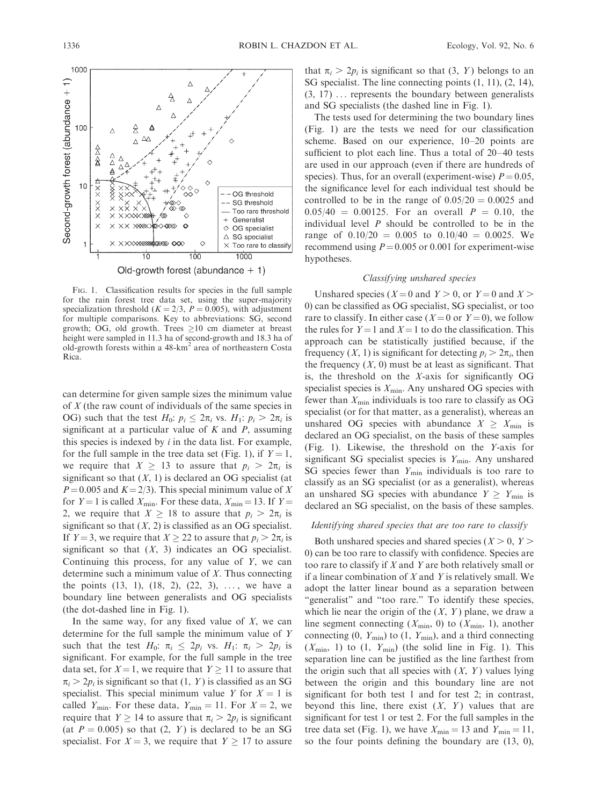

Old-growth forest (abundance  $+1$ )

FIG. 1. Classification results for species in the full sample for the rain forest tree data set, using the super-majority specialization threshold ( $K = 2/3$ ,  $P = 0.005$ ), with adjustment for multiple comparisons. Key to abbreviations: SG, second growth; OG, old growth. Trees  $\geq 10$  cm diameter at breast height were sampled in 11.3 ha of second-growth and 18.3 ha of old-growth forests within a 48-km<sup>2</sup> area of northeastern Costa Rica.

can determine for given sample sizes the minimum value of  $X$  (the raw count of individuals of the same species in OG) such that the test  $H_0: p_i \leq 2\pi_i$  vs.  $H_1: p_i > 2\pi_i$  is significant at a particular value of  $K$  and  $P$ , assuming this species is indexed by  $i$  in the data list. For example, for the full sample in the tree data set (Fig. 1), if  $Y = 1$ , we require that  $X \geq 13$  to assure that  $p_i > 2\pi_i$  is significant so that  $(X, 1)$  is declared an OG specialist (at  $P = 0.005$  and  $K = 2/3$ . This special minimum value of X for  $Y = 1$  is called  $X_{\text{min}}$ . For these data,  $X_{\text{min}} = 13$ . If  $Y =$ 2, we require that  $X \geq 18$  to assure that  $p_i > 2\pi_i$  is significant so that  $(X, 2)$  is classified as an OG specialist. If  $Y = 3$ , we require that  $X \ge 22$  to assure that  $p_i > 2\pi_i$  is significant so that  $(X, 3)$  indicates an OG specialist. Continuing this process, for any value of  $Y$ , we can determine such a minimum value of  $X$ . Thus connecting the points  $(13, 1), (18, 2), (22, 3), \ldots$ , we have a boundary line between generalists and OG specialists (the dot-dashed line in Fig. 1).

In the same way, for any fixed value of  $X$ , we can determine for the full sample the minimum value of Y such that the test  $H_0$ :  $\pi_i \leq 2p_i$  vs.  $H_1$ :  $\pi_i > 2p_i$  is significant. For example, for the full sample in the tree data set, for  $X = 1$ , we require that  $Y \ge 11$  to assure that  $\pi_i$  > 2p<sub>i</sub> is significant so that (1, Y) is classified as an SG specialist. This special minimum value Y for  $X = 1$  is called  $Y_{\text{min}}$ . For these data,  $Y_{\text{min}} = 11$ . For  $X = 2$ , we require that  $Y \ge 14$  to assure that  $\pi_i > 2p_i$  is significant (at  $P = 0.005$ ) so that (2, Y) is declared to be an SG specialist. For  $X = 3$ , we require that  $Y \geq 17$  to assure that  $\pi_i > 2p_i$  is significant so that (3, Y) belongs to an SG specialist. The line connecting points (1, 11), (2, 14), (3, 17) ... represents the boundary between generalists and SG specialists (the dashed line in Fig. 1).

The tests used for determining the two boundary lines (Fig. 1) are the tests we need for our classification scheme. Based on our experience, 10–20 points are sufficient to plot each line. Thus a total of 20–40 tests are used in our approach (even if there are hundreds of species). Thus, for an overall (experiment-wise)  $P = 0.05$ , the significance level for each individual test should be controlled to be in the range of  $0.05/20 = 0.0025$  and  $0.05/40 = 0.00125$ . For an overall  $P = 0.10$ , the individual level  $P$  should be controlled to be in the range of  $0.10/20 = 0.005$  to  $0.10/40 = 0.0025$ . We recommend using  $P = 0.005$  or 0.001 for experiment-wise hypotheses.

### Classifying unshared species

Unshared species ( $X = 0$  and  $Y > 0$ , or  $Y = 0$  and  $X > 0$ 0) can be classified as OG specialist, SG specialist, or too rare to classify. In either case ( $X = 0$  or  $Y = 0$ ), we follow the rules for  $Y=1$  and  $X=1$  to do the classification. This approach can be statistically justified because, if the frequency  $(X, 1)$  is significant for detecting  $p_i > 2\pi_i$ , then the frequency  $(X, 0)$  must be at least as significant. That is, the threshold on the X-axis for significantly OG specialist species is  $X_{\text{min}}$ . Any unshared OG species with fewer than  $X_{\text{min}}$  individuals is too rare to classify as OG specialist (or for that matter, as a generalist), whereas an unshared OG species with abundance  $X \geq X_{\min}$  is declared an OG specialist, on the basis of these samples (Fig. 1). Likewise, the threshold on the Y-axis for significant SG specialist species is  $Y_{\text{min}}$ . Any unshared SG species fewer than  $Y_{\text{min}}$  individuals is too rare to classify as an SG specialist (or as a generalist), whereas an unshared SG species with abundance  $Y \geq Y_{\min}$  is declared an SG specialist, on the basis of these samples.

# Identifying shared species that are too rare to classify

Both unshared species and shared species ( $X > 0$ ,  $Y >$ 0) can be too rare to classify with confidence. Species are too rare to classify if  $X$  and  $Y$  are both relatively small or if a linear combination of  $X$  and  $Y$  is relatively small. We adopt the latter linear bound as a separation between "generalist" and "too rare." To identify these species, which lie near the origin of the  $(X, Y)$  plane, we draw a line segment connecting  $(X_{\min}, 0)$  to  $(X_{\min}, 1)$ , another connecting  $(0, Y_{\text{min}})$  to  $(1, Y_{\text{min}})$ , and a third connecting  $(X_{\min}, 1)$  to  $(1, Y_{\min})$  (the solid line in Fig. 1). This separation line can be justified as the line farthest from the origin such that all species with  $(X, Y)$  values lying between the origin and this boundary line are not significant for both test 1 and for test 2; in contrast, beyond this line, there exist  $(X, Y)$  values that are significant for test 1 or test 2. For the full samples in the tree data set (Fig. 1), we have  $X_{\text{min}} = 13$  and  $Y_{\text{min}} = 11$ , so the four points defining the boundary are (13, 0),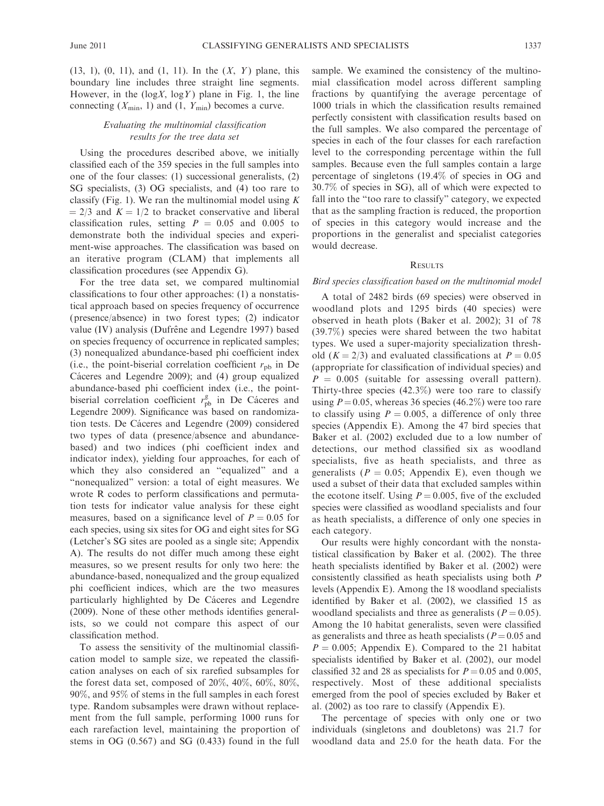$(13, 1), (0, 11),$  and  $(1, 11)$ . In the  $(X, Y)$  plane, this boundary line includes three straight line segments. However, in the  $(\log X, \log Y)$  plane in Fig. 1, the line connecting  $(X_{\text{min}}, 1)$  and  $(1, Y_{\text{min}})$  becomes a curve.

# Evaluating the multinomial classification results for the tree data set

Using the procedures described above, we initially classified each of the 359 species in the full samples into one of the four classes: (1) successional generalists, (2) SG specialists, (3) OG specialists, and (4) too rare to classify (Fig. 1). We ran the multinomial model using  $K$  $\mu = 2/3$  and  $K = 1/2$  to bracket conservative and liberal classification rules, setting  $P = 0.05$  and 0.005 to demonstrate both the individual species and experiment-wise approaches. The classification was based on an iterative program (CLAM) that implements all classification procedures (see Appendix G).

For the tree data set, we compared multinomial classifications to four other approaches: (1) a nonstatistical approach based on species frequency of occurrence (presence/absence) in two forest types; (2) indicator value (IV) analysis (Dufrêne and Legendre 1997) based on species frequency of occurrence in replicated samples; (3) nonequalized abundance-based phi coefficient index (i.e., the point-biserial correlation coefficient  $r_{\rm pb}$  in De Cáceres and Legendre 2009); and (4) group equalized abundance-based phi coefficient index (i.e., the pointbiserial correlation coefficient  $r_{\rm pb}^{\rm g}$  in De Cáceres and Legendre 2009). Significance was based on randomization tests. De Cáceres and Legendre (2009) considered two types of data (presence/absence and abundancebased) and two indices (phi coefficient index and indicator index), yielding four approaches, for each of which they also considered an ''equalized'' and a "nonequalized" version: a total of eight measures. We wrote R codes to perform classifications and permutation tests for indicator value analysis for these eight measures, based on a significance level of  $P = 0.05$  for each species, using six sites for OG and eight sites for SG (Letcher's SG sites are pooled as a single site; Appendix A). The results do not differ much among these eight measures, so we present results for only two here: the abundance-based, nonequalized and the group equalized phi coefficient indices, which are the two measures particularly highlighted by De Cáceres and Legendre (2009). None of these other methods identifies generalists, so we could not compare this aspect of our classification method.

To assess the sensitivity of the multinomial classification model to sample size, we repeated the classification analyses on each of six rarefied subsamples for the forest data set, composed of 20%, 40%, 60%, 80%, 90%, and 95% of stems in the full samples in each forest type. Random subsamples were drawn without replacement from the full sample, performing 1000 runs for each rarefaction level, maintaining the proportion of stems in OG (0.567) and SG (0.433) found in the full sample. We examined the consistency of the multinomial classification model across different sampling fractions by quantifying the average percentage of 1000 trials in which the classification results remained perfectly consistent with classification results based on the full samples. We also compared the percentage of species in each of the four classes for each rarefaction level to the corresponding percentage within the full samples. Because even the full samples contain a large percentage of singletons (19.4% of species in OG and 30.7% of species in SG), all of which were expected to fall into the ''too rare to classify'' category, we expected that as the sampling fraction is reduced, the proportion of species in this category would increase and the proportions in the generalist and specialist categories would decrease.

### **RESULTS**

### Bird species classification based on the multinomial model

A total of 2482 birds (69 species) were observed in woodland plots and 1295 birds (40 species) were observed in heath plots (Baker et al. 2002); 31 of 78 (39.7%) species were shared between the two habitat types. We used a super-majority specialization threshold  $(K = 2/3)$  and evaluated classifications at  $P = 0.05$ (appropriate for classification of individual species) and  $P = 0.005$  (suitable for assessing overall pattern). Thirty-three species  $(42.3\%)$  were too rare to classify using  $P = 0.05$ , whereas 36 species (46.2%) were too rare to classify using  $P = 0.005$ , a difference of only three species (Appendix E). Among the 47 bird species that Baker et al. (2002) excluded due to a low number of detections, our method classified six as woodland specialists, five as heath specialists, and three as generalists ( $P = 0.05$ ; Appendix E), even though we used a subset of their data that excluded samples within the ecotone itself. Using  $P = 0.005$ , five of the excluded species were classified as woodland specialists and four as heath specialists, a difference of only one species in each category.

Our results were highly concordant with the nonstatistical classification by Baker et al. (2002). The three heath specialists identified by Baker et al. (2002) were consistently classified as heath specialists using both P levels (Appendix E). Among the 18 woodland specialists identified by Baker et al. (2002), we classified 15 as woodland specialists and three as generalists ( $P = 0.05$ ). Among the 10 habitat generalists, seven were classified as generalists and three as heath specialists ( $P = 0.05$  and  $P = 0.005$ ; Appendix E). Compared to the 21 habitat specialists identified by Baker et al. (2002), our model classified 32 and 28 as specialists for  $P = 0.05$  and 0.005, respectively. Most of these additional specialists emerged from the pool of species excluded by Baker et al. (2002) as too rare to classify (Appendix E).

The percentage of species with only one or two individuals (singletons and doubletons) was 21.7 for woodland data and 25.0 for the heath data. For the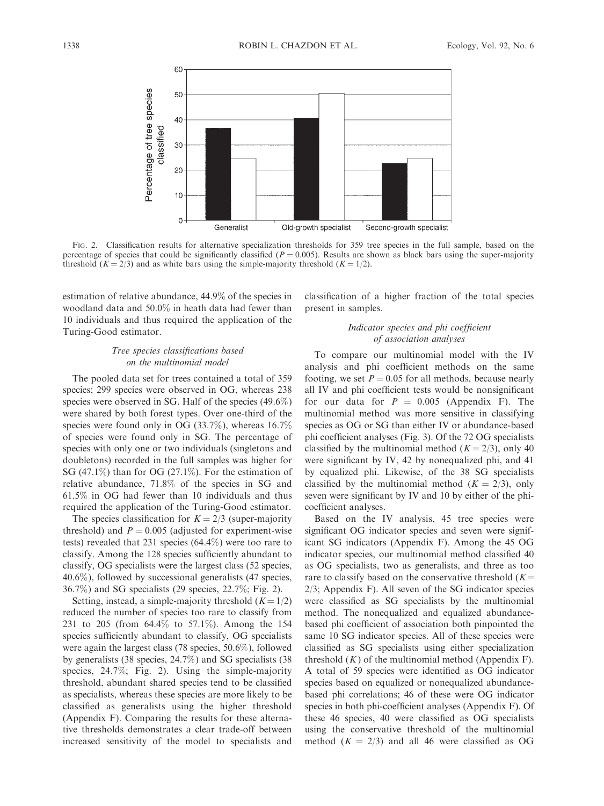

FIG. 2. Classification results for alternative specialization thresholds for 359 tree species in the full sample, based on the percentage of species that could be significantly classified ( $P = 0.005$ ). Results are shown as black bars using the super-majority threshold ( $K = 2/3$ ) and as white bars using the simple-majority threshold ( $K = 1/2$ ).

estimation of relative abundance, 44.9% of the species in woodland data and 50.0% in heath data had fewer than 10 individuals and thus required the application of the Turing-Good estimator.

# Tree species classifications based on the multinomial model

The pooled data set for trees contained a total of 359 species; 299 species were observed in OG, whereas 238 species were observed in SG. Half of the species (49.6%) were shared by both forest types. Over one-third of the species were found only in OG (33.7%), whereas 16.7% of species were found only in SG. The percentage of species with only one or two individuals (singletons and doubletons) recorded in the full samples was higher for SG (47.1%) than for OG (27.1%). For the estimation of relative abundance, 71.8% of the species in SG and 61.5% in OG had fewer than 10 individuals and thus required the application of the Turing-Good estimator.

The species classification for  $K = 2/3$  (super-majority threshold) and  $P = 0.005$  (adjusted for experiment-wise tests) revealed that 231 species (64.4%) were too rare to classify. Among the 128 species sufficiently abundant to classify, OG specialists were the largest class (52 species, 40.6%), followed by successional generalists (47 species, 36.7%) and SG specialists (29 species, 22.7%; Fig. 2).

Setting, instead, a simple-majority threshold  $(K = 1/2)$ reduced the number of species too rare to classify from 231 to 205 (from 64.4% to 57.1%). Among the 154 species sufficiently abundant to classify, OG specialists were again the largest class (78 species, 50.6%), followed by generalists (38 species, 24.7%) and SG specialists (38 species, 24.7%; Fig. 2). Using the simple-majority threshold, abundant shared species tend to be classified as specialists, whereas these species are more likely to be classified as generalists using the higher threshold (Appendix F). Comparing the results for these alternative thresholds demonstrates a clear trade-off between increased sensitivity of the model to specialists and classification of a higher fraction of the total species present in samples.

# Indicator species and phi coefficient of association analyses

To compare our multinomial model with the IV analysis and phi coefficient methods on the same footing, we set  $P = 0.05$  for all methods, because nearly all IV and phi coefficient tests would be nonsignificant for our data for  $P = 0.005$  (Appendix F). The multinomial method was more sensitive in classifying species as OG or SG than either IV or abundance-based phi coefficient analyses (Fig. 3). Of the 72 OG specialists classified by the multinomial method ( $K = 2/3$ ), only 40 were significant by IV, 42 by nonequalized phi, and 41 by equalized phi. Likewise, of the 38 SG specialists classified by the multinomial method  $(K = 2/3)$ , only seven were significant by IV and 10 by either of the phicoefficient analyses.

Based on the IV analysis, 45 tree species were significant OG indicator species and seven were significant SG indicators (Appendix F). Among the 45 OG indicator species, our multinomial method classified 40 as OG specialists, two as generalists, and three as too rare to classify based on the conservative threshold  $(K =$ 2/3; Appendix F). All seven of the SG indicator species were classified as SG specialists by the multinomial method. The nonequalized and equalized abundancebased phi coefficient of association both pinpointed the same 10 SG indicator species. All of these species were classified as SG specialists using either specialization threshold  $(K)$  of the multinomial method (Appendix F). A total of 59 species were identified as OG indicator species based on equalized or nonequalized abundancebased phi correlations; 46 of these were OG indicator species in both phi-coefficient analyses (Appendix F). Of these 46 species, 40 were classified as OG specialists using the conservative threshold of the multinomial method  $(K = 2/3)$  and all 46 were classified as OG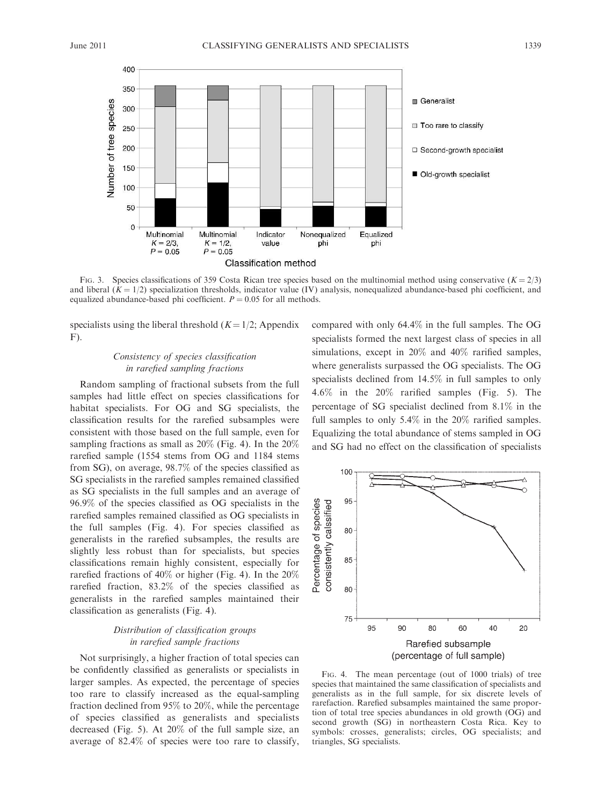

FIG. 3. Species classifications of 359 Costa Rican tree species based on the multinomial method using conservative  $(K = 2/3)$ and liberal  $(K = 1/2)$  specialization thresholds, indicator value (IV) analysis, nonequalized abundance-based phi coefficient, and equalized abundance-based phi coefficient.  $P = 0.05$  for all methods.

specialists using the liberal threshold  $(K = 1/2;$  Appendix F).

# Consistency of species classification in rarefied sampling fractions

Random sampling of fractional subsets from the full samples had little effect on species classifications for habitat specialists. For OG and SG specialists, the classification results for the rarefied subsamples were consistent with those based on the full sample, even for sampling fractions as small as 20% (Fig. 4). In the 20% rarefied sample (1554 stems from OG and 1184 stems from SG), on average, 98.7% of the species classified as SG specialists in the rarefied samples remained classified as SG specialists in the full samples and an average of 96.9% of the species classified as OG specialists in the rarefied samples remained classified as OG specialists in the full samples (Fig. 4). For species classified as generalists in the rarefied subsamples, the results are slightly less robust than for specialists, but species classifications remain highly consistent, especially for rarefied fractions of  $40\%$  or higher (Fig. 4). In the  $20\%$ rarefied fraction, 83.2% of the species classified as generalists in the rarefied samples maintained their classification as generalists (Fig. 4).

# Distribution of classification groups in rarefied sample fractions

Not surprisingly, a higher fraction of total species can be confidently classified as generalists or specialists in larger samples. As expected, the percentage of species too rare to classify increased as the equal-sampling fraction declined from 95% to 20%, while the percentage of species classified as generalists and specialists decreased (Fig. 5). At 20% of the full sample size, an average of 82.4% of species were too rare to classify, compared with only 64.4% in the full samples. The OG specialists formed the next largest class of species in all simulations, except in 20% and 40% rarified samples, where generalists surpassed the OG specialists. The OG specialists declined from 14.5% in full samples to only 4.6% in the 20% rarified samples (Fig. 5). The percentage of SG specialist declined from 8.1% in the full samples to only 5.4% in the 20% rarified samples. Equalizing the total abundance of stems sampled in OG and SG had no effect on the classification of specialists



FIG. 4. The mean percentage (out of 1000 trials) of tree species that maintained the same classification of specialists and generalists as in the full sample, for six discrete levels of rarefaction. Rarefied subsamples maintained the same proportion of total tree species abundances in old growth (OG) and second growth (SG) in northeastern Costa Rica. Key to symbols: crosses, generalists; circles, OG specialists; and triangles, SG specialists.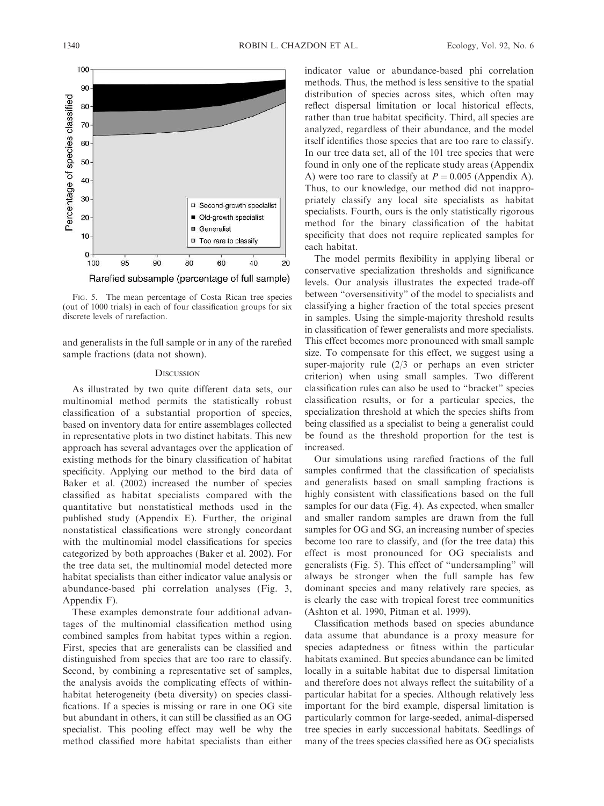

FIG. 5. The mean percentage of Costa Rican tree species (out of 1000 trials) in each of four classification groups for six discrete levels of rarefaction.

and generalists in the full sample or in any of the rarefied sample fractions (data not shown).

### **DISCUSSION**

As illustrated by two quite different data sets, our multinomial method permits the statistically robust classification of a substantial proportion of species, based on inventory data for entire assemblages collected in representative plots in two distinct habitats. This new approach has several advantages over the application of existing methods for the binary classification of habitat specificity. Applying our method to the bird data of Baker et al. (2002) increased the number of species classified as habitat specialists compared with the quantitative but nonstatistical methods used in the published study (Appendix E). Further, the original nonstatistical classifications were strongly concordant with the multinomial model classifications for species categorized by both approaches (Baker et al. 2002). For the tree data set, the multinomial model detected more habitat specialists than either indicator value analysis or abundance-based phi correlation analyses (Fig. 3, Appendix F).

These examples demonstrate four additional advantages of the multinomial classification method using combined samples from habitat types within a region. First, species that are generalists can be classified and distinguished from species that are too rare to classify. Second, by combining a representative set of samples, the analysis avoids the complicating effects of withinhabitat heterogeneity (beta diversity) on species classifications. If a species is missing or rare in one OG site but abundant in others, it can still be classified as an OG specialist. This pooling effect may well be why the method classified more habitat specialists than either

indicator value or abundance-based phi correlation methods. Thus, the method is less sensitive to the spatial distribution of species across sites, which often may reflect dispersal limitation or local historical effects, rather than true habitat specificity. Third, all species are analyzed, regardless of their abundance, and the model itself identifies those species that are too rare to classify. In our tree data set, all of the 101 tree species that were found in only one of the replicate study areas (Appendix A) were too rare to classify at  $P = 0.005$  (Appendix A). Thus, to our knowledge, our method did not inappropriately classify any local site specialists as habitat specialists. Fourth, ours is the only statistically rigorous method for the binary classification of the habitat specificity that does not require replicated samples for each habitat.

The model permits flexibility in applying liberal or conservative specialization thresholds and significance levels. Our analysis illustrates the expected trade-off between ''oversensitivity'' of the model to specialists and classifying a higher fraction of the total species present in samples. Using the simple-majority threshold results in classification of fewer generalists and more specialists. This effect becomes more pronounced with small sample size. To compensate for this effect, we suggest using a super-majority rule (2/3 or perhaps an even stricter criterion) when using small samples. Two different classification rules can also be used to ''bracket'' species classification results, or for a particular species, the specialization threshold at which the species shifts from being classified as a specialist to being a generalist could be found as the threshold proportion for the test is increased.

Our simulations using rarefied fractions of the full samples confirmed that the classification of specialists and generalists based on small sampling fractions is highly consistent with classifications based on the full samples for our data (Fig. 4). As expected, when smaller and smaller random samples are drawn from the full samples for OG and SG, an increasing number of species become too rare to classify, and (for the tree data) this effect is most pronounced for OG specialists and generalists (Fig. 5). This effect of ''undersampling'' will always be stronger when the full sample has few dominant species and many relatively rare species, as is clearly the case with tropical forest tree communities (Ashton et al. 1990, Pitman et al. 1999).

Classification methods based on species abundance data assume that abundance is a proxy measure for species adaptedness or fitness within the particular habitats examined. But species abundance can be limited locally in a suitable habitat due to dispersal limitation and therefore does not always reflect the suitability of a particular habitat for a species. Although relatively less important for the bird example, dispersal limitation is particularly common for large-seeded, animal-dispersed tree species in early successional habitats. Seedlings of many of the trees species classified here as OG specialists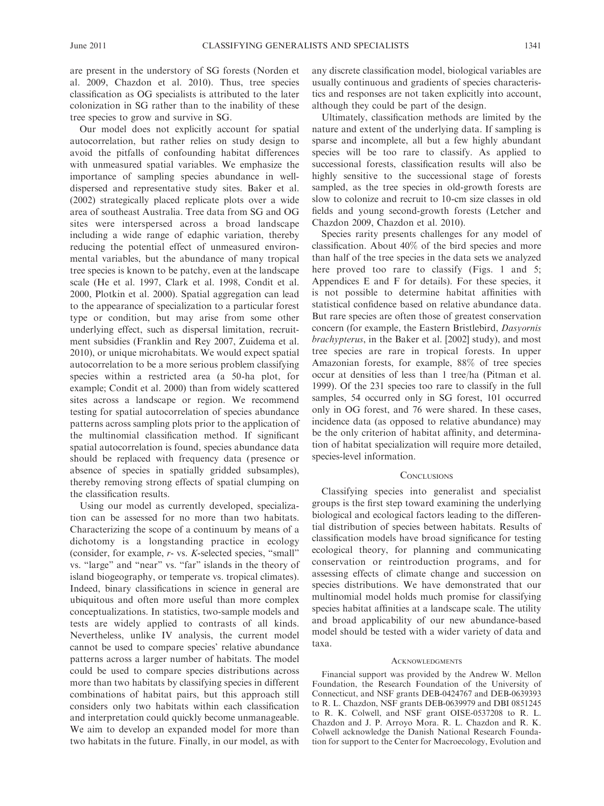are present in the understory of SG forests (Norden et al. 2009, Chazdon et al. 2010). Thus, tree species classification as OG specialists is attributed to the later colonization in SG rather than to the inability of these tree species to grow and survive in SG.

Our model does not explicitly account for spatial autocorrelation, but rather relies on study design to avoid the pitfalls of confounding habitat differences with unmeasured spatial variables. We emphasize the importance of sampling species abundance in welldispersed and representative study sites. Baker et al. (2002) strategically placed replicate plots over a wide area of southeast Australia. Tree data from SG and OG sites were interspersed across a broad landscape including a wide range of edaphic variation, thereby reducing the potential effect of unmeasured environmental variables, but the abundance of many tropical tree species is known to be patchy, even at the landscape scale (He et al. 1997, Clark et al. 1998, Condit et al. 2000, Plotkin et al. 2000). Spatial aggregation can lead to the appearance of specialization to a particular forest type or condition, but may arise from some other underlying effect, such as dispersal limitation, recruitment subsidies (Franklin and Rey 2007, Zuidema et al. 2010), or unique microhabitats. We would expect spatial autocorrelation to be a more serious problem classifying species within a restricted area (a 50-ha plot, for example; Condit et al. 2000) than from widely scattered sites across a landscape or region. We recommend testing for spatial autocorrelation of species abundance patterns across sampling plots prior to the application of the multinomial classification method. If significant spatial autocorrelation is found, species abundance data should be replaced with frequency data (presence or absence of species in spatially gridded subsamples), thereby removing strong effects of spatial clumping on the classification results.

Using our model as currently developed, specialization can be assessed for no more than two habitats. Characterizing the scope of a continuum by means of a dichotomy is a longstanding practice in ecology (consider, for example, r- vs. K-selected species, ''small'' vs. "large" and "near" vs. "far" islands in the theory of island biogeography, or temperate vs. tropical climates). Indeed, binary classifications in science in general are ubiquitous and often more useful than more complex conceptualizations. In statistics, two-sample models and tests are widely applied to contrasts of all kinds. Nevertheless, unlike IV analysis, the current model cannot be used to compare species' relative abundance patterns across a larger number of habitats. The model could be used to compare species distributions across more than two habitats by classifying species in different combinations of habitat pairs, but this approach still considers only two habitats within each classification and interpretation could quickly become unmanageable. We aim to develop an expanded model for more than two habitats in the future. Finally, in our model, as with any discrete classification model, biological variables are usually continuous and gradients of species characteristics and responses are not taken explicitly into account, although they could be part of the design.

Ultimately, classification methods are limited by the nature and extent of the underlying data. If sampling is sparse and incomplete, all but a few highly abundant species will be too rare to classify. As applied to successional forests, classification results will also be highly sensitive to the successional stage of forests sampled, as the tree species in old-growth forests are slow to colonize and recruit to 10-cm size classes in old fields and young second-growth forests (Letcher and Chazdon 2009, Chazdon et al. 2010).

Species rarity presents challenges for any model of classification. About 40% of the bird species and more than half of the tree species in the data sets we analyzed here proved too rare to classify (Figs. 1 and 5; Appendices E and F for details). For these species, it is not possible to determine habitat affinities with statistical confidence based on relative abundance data. But rare species are often those of greatest conservation concern (for example, the Eastern Bristlebird, Dasyornis brachypterus, in the Baker et al. [2002] study), and most tree species are rare in tropical forests. In upper Amazonian forests, for example, 88% of tree species occur at densities of less than 1 tree/ha (Pitman et al. 1999). Of the 231 species too rare to classify in the full samples, 54 occurred only in SG forest, 101 occurred only in OG forest, and 76 were shared. In these cases, incidence data (as opposed to relative abundance) may be the only criterion of habitat affinity, and determination of habitat specialization will require more detailed, species-level information.

# **CONCLUSIONS**

Classifying species into generalist and specialist groups is the first step toward examining the underlying biological and ecological factors leading to the differential distribution of species between habitats. Results of classification models have broad significance for testing ecological theory, for planning and communicating conservation or reintroduction programs, and for assessing effects of climate change and succession on species distributions. We have demonstrated that our multinomial model holds much promise for classifying species habitat affinities at a landscape scale. The utility and broad applicability of our new abundance-based model should be tested with a wider variety of data and taxa.

#### **ACKNOWLEDGMENTS**

Financial support was provided by the Andrew W. Mellon Foundation, the Research Foundation of the University of Connecticut, and NSF grants DEB-0424767 and DEB-0639393 to R. L. Chazdon, NSF grants DEB-0639979 and DBI 0851245 to R. K. Colwell, and NSF grant OISE-0537208 to R. L. Chazdon and J. P. Arroyo Mora. R. L. Chazdon and R. K. Colwell acknowledge the Danish National Research Foundation for support to the Center for Macroecology, Evolution and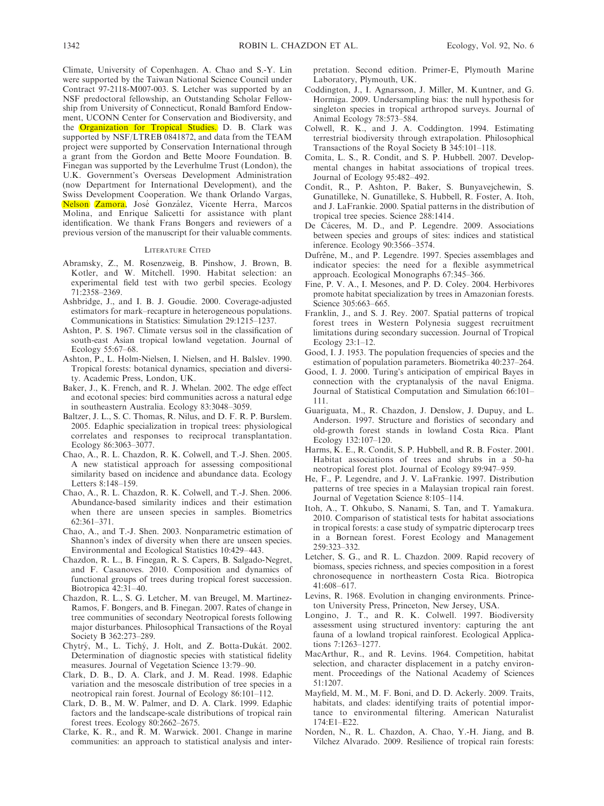Climate, University of Copenhagen. A. Chao and S.-Y. Lin were supported by the Taiwan National Science Council under Contract 97-2118-M007-003. S. Letcher was supported by an NSF predoctoral fellowship, an Outstanding Scholar Fellowship from University of Connecticut, Ronald Bamford Endowment, UCONN Center for Conservation and Biodiversity, and the **Organization for Tropical Studies.** D. B. Clark was supported by NSF/LTREB 0841872, and data from the TEAM project were supported by Conservation International through a grant from the Gordon and Bette Moore Foundation. B. Finegan was supported by the Leverhulme Trust (London), the U.K. Government's Overseas Development Administration (now Department for International Development), and the Swiss Development Cooperation. We thank Orlando Vargas, Nelson Zamora, José González, Vicente Herra, Marcos Molina, and Enrique Salicetti for assistance with plant identification. We thank Frans Bongers and reviewers of a previous version of the manuscript for their valuable comments.

#### LITERATURE CITED

- Abramsky, Z., M. Rosenzweig, B. Pinshow, J. Brown, B. Kotler, and W. Mitchell. 1990. Habitat selection: an experimental field test with two gerbil species. Ecology 71:2358–2369.
- Ashbridge, J., and I. B. J. Goudie. 2000. Coverage-adjusted estimators for mark–recapture in heterogeneous populations. Communications in Statistics: Simulation 29:1215–1237.
- Ashton, P. S. 1967. Climate versus soil in the classification of south-east Asian tropical lowland vegetation. Journal of Ecology 55:67–68.
- Ashton, P., L. Holm-Nielsen, I. Nielsen, and H. Balslev. 1990. Tropical forests: botanical dynamics, speciation and diversity. Academic Press, London, UK.
- Baker, J., K. French, and R. J. Whelan. 2002. The edge effect and ecotonal species: bird communities across a natural edge in southeastern Australia. Ecology 83:3048–3059.
- Baltzer, J. L., S. C. Thomas, R. Nilus, and D. F. R. P. Burslem. 2005. Edaphic specialization in tropical trees: physiological correlates and responses to reciprocal transplantation. Ecology 86:3063–3077.
- Chao, A., R. L. Chazdon, R. K. Colwell, and T.-J. Shen. 2005. A new statistical approach for assessing compositional similarity based on incidence and abundance data. Ecology Letters 8:148–159.
- Chao, A., R. L. Chazdon, R. K. Colwell, and T.-J. Shen. 2006. Abundance-based similarity indices and their estimation when there are unseen species in samples. Biometrics 62:361–371.
- Chao, A., and T.-J. Shen. 2003. Nonparametric estimation of Shannon's index of diversity when there are unseen species. Environmental and Ecological Statistics 10:429–443.
- Chazdon, R. L., B. Finegan, R. S. Capers, B. Salgado-Negret, and F. Casanoves. 2010. Composition and dynamics of functional groups of trees during tropical forest succession. Biotropica 42:31–40.
- Chazdon, R. L., S. G. Letcher, M. van Breugel, M. Martinez-Ramos, F. Bongers, and B. Finegan. 2007. Rates of change in tree communities of secondary Neotropical forests following major disturbances. Philosophical Transactions of the Royal Society B 362:273–289.
- Chytrý, M., L. Tichý, J. Holt, and Z. Botta-Dukát. 2002. Determination of diagnostic species with statistical fidelity measures. Journal of Vegetation Science 13:79–90.
- Clark, D. B., D. A. Clark, and J. M. Read. 1998. Edaphic variation and the mesoscale distribution of tree species in a neotropical rain forest. Journal of Ecology 86:101–112.
- Clark, D. B., M. W. Palmer, and D. A. Clark. 1999. Edaphic factors and the landscape-scale distributions of tropical rain forest trees. Ecology 80:2662–2675.
- Clarke, K. R., and R. M. Warwick. 2001. Change in marine communities: an approach to statistical analysis and inter-

pretation. Second edition. Primer-E, Plymouth Marine Laboratory, Plymouth, UK.

- Coddington, J., I. Agnarsson, J. Miller, M. Kuntner, and G. Hormiga. 2009. Undersampling bias: the null hypothesis for singleton species in tropical arthropod surveys. Journal of Animal Ecology 78:573–584.
- Colwell, R. K., and J. A. Coddington. 1994. Estimating terrestrial biodiversity through extrapolation. Philosophical Transactions of the Royal Society B 345:101–118.
- Comita, L. S., R. Condit, and S. P. Hubbell. 2007. Developmental changes in habitat associations of tropical trees. Journal of Ecology 95:482–492.
- Condit, R., P. Ashton, P. Baker, S. Bunyavejchewin, S. Gunatilleke, N. Gunatilleke, S. Hubbell, R. Foster, A. Itoh, and J. LaFrankie. 2000. Spatial patterns in the distribution of tropical tree species. Science 288:1414.
- De Cáceres, M. D., and P. Legendre. 2009. Associations between species and groups of sites: indices and statistical inference. Ecology 90:3566–3574.
- Dufrêne, M., and P. Legendre. 1997. Species assemblages and indicator species: the need for a flexible asymmetrical approach. Ecological Monographs 67:345–366.
- Fine, P. V. A., I. Mesones, and P. D. Coley. 2004. Herbivores promote habitat specialization by trees in Amazonian forests. Science 305:663–665.
- Franklin, J., and S. J. Rey. 2007. Spatial patterns of tropical forest trees in Western Polynesia suggest recruitment limitations during secondary succession. Journal of Tropical Ecology 23:1–12.
- Good, I. J. 1953. The population frequencies of species and the estimation of population parameters. Biometrika 40:237–264.
- Good, I. J. 2000. Turing's anticipation of empirical Bayes in connection with the cryptanalysis of the naval Enigma. Journal of Statistical Computation and Simulation 66:101– 111.
- Guariguata, M., R. Chazdon, J. Denslow, J. Dupuy, and L. Anderson. 1997. Structure and floristics of secondary and old-growth forest stands in lowland Costa Rica. Plant Ecology 132:107–120.
- Harms, K. E., R. Condit, S. P. Hubbell, and R. B. Foster. 2001. Habitat associations of trees and shrubs in a 50-ha neotropical forest plot. Journal of Ecology 89:947–959.
- He, F., P. Legendre, and J. V. LaFrankie. 1997. Distribution patterns of tree species in a Malaysian tropical rain forest. Journal of Vegetation Science 8:105–114.
- Itoh, A., T. Ohkubo, S. Nanami, S. Tan, and T. Yamakura. 2010. Comparison of statistical tests for habitat associations in tropical forests: a case study of sympatric dipterocarp trees in a Bornean forest. Forest Ecology and Management 259:323–332.
- Letcher, S. G., and R. L. Chazdon. 2009. Rapid recovery of biomass, species richness, and species composition in a forest chronosequence in northeastern Costa Rica. Biotropica 41:608–617.
- Levins, R. 1968. Evolution in changing environments. Princeton University Press, Princeton, New Jersey, USA.
- Longino, J. T., and R. K. Colwell. 1997. Biodiversity assessment using structured inventory: capturing the ant fauna of a lowland tropical rainforest. Ecological Applications 7:1263–1277.
- MacArthur, R., and R. Levins. 1964. Competition, habitat selection, and character displacement in a patchy environment. Proceedings of the National Academy of Sciences 51:1207.
- Mayfield, M. M., M. F. Boni, and D. D. Ackerly. 2009. Traits, habitats, and clades: identifying traits of potential importance to environmental filtering. American Naturalist 174:E1–E22.
- Norden, N., R. L. Chazdon, A. Chao, Y.-H. Jiang, and B. Vilchez Alvarado. 2009. Resilience of tropical rain forests: